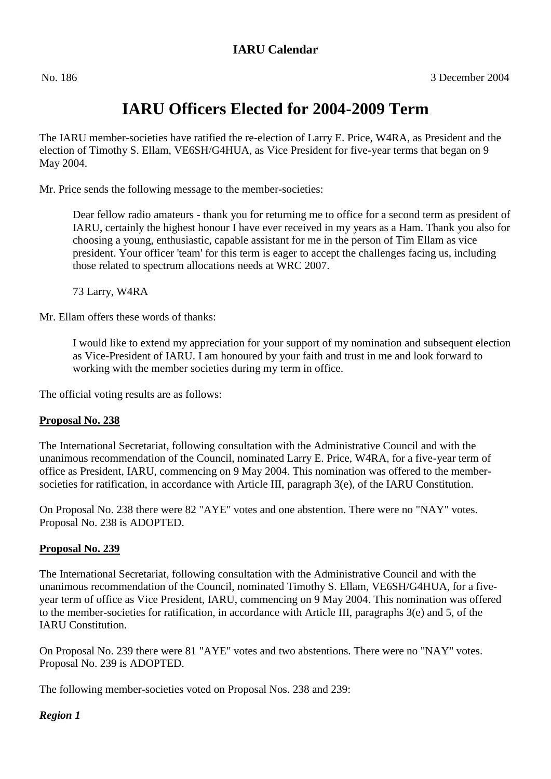## **IARU Calendar**

# **IARU Officers Elected for 2004-2009 Term**

The IARU member-societies have ratified the re-election of Larry E. Price, W4RA, as President and the election of Timothy S. Ellam, VE6SH/G4HUA, as Vice President for five-year terms that began on 9 May 2004.

Mr. Price sends the following message to the member-societies:

Dear fellow radio amateurs - thank you for returning me to office for a second term as president of IARU, certainly the highest honour I have ever received in my years as a Ham. Thank you also for choosing a young, enthusiastic, capable assistant for me in the person of Tim Ellam as vice president. Your officer 'team' for this term is eager to accept the challenges facing us, including those related to spectrum allocations needs at WRC 2007.

73 Larry, W4RA

Mr. Ellam offers these words of thanks:

I would like to extend my appreciation for your support of my nomination and subsequent election as Vice-President of IARU. I am honoured by your faith and trust in me and look forward to working with the member societies during my term in office.

The official voting results are as follows:

## **Proposal No. 238**

The International Secretariat, following consultation with the Administrative Council and with the unanimous recommendation of the Council, nominated Larry E. Price, W4RA, for a five-year term of office as President, IARU, commencing on 9 May 2004. This nomination was offered to the membersocieties for ratification, in accordance with Article III, paragraph 3(e), of the IARU Constitution.

On Proposal No. 238 there were 82 "AYE" votes and one abstention. There were no "NAY" votes. Proposal No. 238 is ADOPTED.

#### **Proposal No. 239**

The International Secretariat, following consultation with the Administrative Council and with the unanimous recommendation of the Council, nominated Timothy S. Ellam, VE6SH/G4HUA, for a fiveyear term of office as Vice President, IARU, commencing on 9 May 2004. This nomination was offered to the member-societies for ratification, in accordance with Article III, paragraphs 3(e) and 5, of the IARU Constitution.

On Proposal No. 239 there were 81 "AYE" votes and two abstentions. There were no "NAY" votes. Proposal No. 239 is ADOPTED.

The following member-societies voted on Proposal Nos. 238 and 239:

## *Region 1*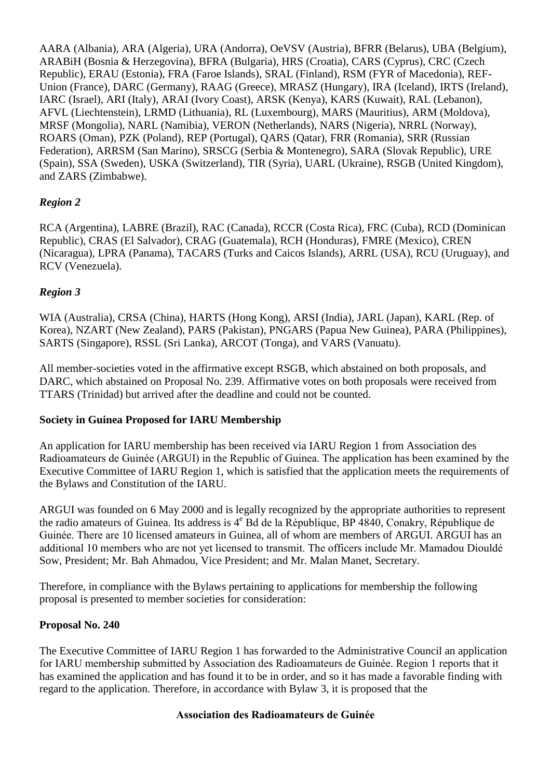AARA (Albania), ARA (Algeria), URA (Andorra), OeVSV (Austria), BFRR (Belarus), UBA (Belgium), ARABiH (Bosnia & Herzegovina), BFRA (Bulgaria), HRS (Croatia), CARS (Cyprus), CRC (Czech Republic), ERAU (Estonia), FRA (Faroe Islands), SRAL (Finland), RSM (FYR of Macedonia), REF-Union (France), DARC (Germany), RAAG (Greece), MRASZ (Hungary), IRA (Iceland), IRTS (Ireland), IARC (Israel), ARI (Italy), ARAI (Ivory Coast), ARSK (Kenya), KARS (Kuwait), RAL (Lebanon), AFVL (Liechtenstein), LRMD (Lithuania), RL (Luxembourg), MARS (Mauritius), ARM (Moldova), MRSF (Mongolia), NARL (Namibia), VERON (Netherlands), NARS (Nigeria), NRRL (Norway), ROARS (Oman), PZK (Poland), REP (Portugal), QARS (Qatar), FRR (Romania), SRR (Russian Federation), ARRSM (San Marino), SRSCG (Serbia & Montenegro), SARA (Slovak Republic), URE (Spain), SSA (Sweden), USKA (Switzerland), TIR (Syria), UARL (Ukraine), RSGB (United Kingdom), and ZARS (Zimbabwe).

## *Region 2*

RCA (Argentina), LABRE (Brazil), RAC (Canada), RCCR (Costa Rica), FRC (Cuba), RCD (Dominican Republic), CRAS (El Salvador), CRAG (Guatemala), RCH (Honduras), FMRE (Mexico), CREN (Nicaragua), LPRA (Panama), TACARS (Turks and Caicos Islands), ARRL (USA), RCU (Uruguay), and RCV (Venezuela).

## *Region 3*

WIA (Australia), CRSA (China), HARTS (Hong Kong), ARSI (India), JARL (Japan), KARL (Rep. of Korea), NZART (New Zealand), PARS (Pakistan), PNGARS (Papua New Guinea), PARA (Philippines), SARTS (Singapore), RSSL (Sri Lanka), ARCOT (Tonga), and VARS (Vanuatu).

All member-societies voted in the affirmative except RSGB, which abstained on both proposals, and DARC, which abstained on Proposal No. 239. Affirmative votes on both proposals were received from TTARS (Trinidad) but arrived after the deadline and could not be counted.

## **Society in Guinea Proposed for IARU Membership**

An application for IARU membership has been received via IARU Region 1 from Association des Radioamateurs de Guinée (ARGUI) in the Republic of Guinea. The application has been examined by the Executive Committee of IARU Region 1, which is satisfied that the application meets the requirements of the Bylaws and Constitution of the IARU.

ARGUI was founded on 6 May 2000 and is legally recognized by the appropriate authorities to represent the radio amateurs of Guinea. Its address is 4<sup>e</sup> Bd de la République, BP 4840, Conakry, République de Guinée. There are 10 licensed amateurs in Guinea, all of whom are members of ARGUI. ARGUI has an additional 10 members who are not yet licensed to transmit. The officers include Mr. Mamadou Diouldé Sow, President; Mr. Bah Ahmadou, Vice President; and Mr. Malan Manet, Secretary.

Therefore, in compliance with the Bylaws pertaining to applications for membership the following proposal is presented to member societies for consideration:

#### **Proposal No. 240**

The Executive Committee of IARU Region 1 has forwarded to the Administrative Council an application for IARU membership submitted by Association des Radioamateurs de Guinée. Region 1 reports that it has examined the application and has found it to be in order, and so it has made a favorable finding with regard to the application. Therefore, in accordance with Bylaw 3, it is proposed that the

#### **Association des Radioamateurs de Guinée**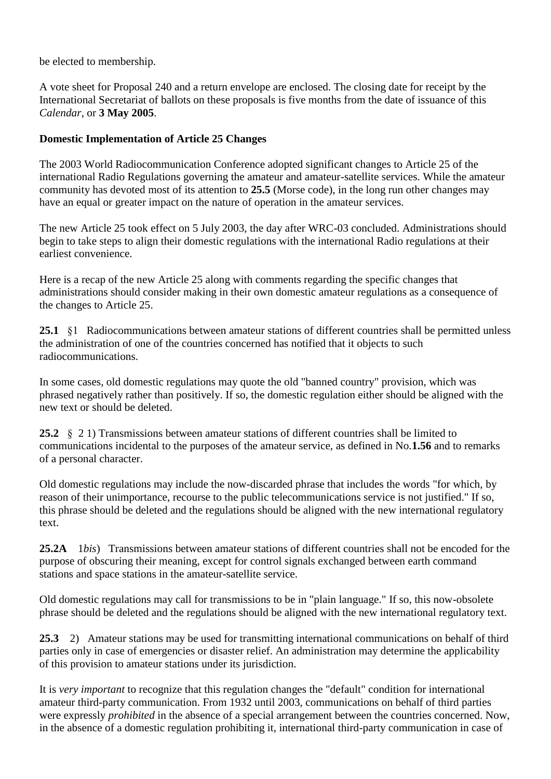be elected to membership.

A vote sheet for Proposal 240 and a return envelope are enclosed. The closing date for receipt by the International Secretariat of ballots on these proposals is five months from the date of issuance of this *Calendar*, or **3 May 2005**.

## **Domestic Implementation of Article 25 Changes**

The 2003 World Radiocommunication Conference adopted significant changes to Article 25 of the international Radio Regulations governing the amateur and amateur-satellite services. While the amateur community has devoted most of its attention to **25.5** (Morse code), in the long run other changes may have an equal or greater impact on the nature of operation in the amateur services.

The new Article 25 took effect on 5 July 2003, the day after WRC-03 concluded. Administrations should begin to take steps to align their domestic regulations with the international Radio regulations at their earliest convenience.

Here is a recap of the new Article 25 along with comments regarding the specific changes that administrations should consider making in their own domestic amateur regulations as a consequence of the changes to Article 25.

**25.1** §1 Radiocommunications between amateur stations of different countries shall be permitted unless the administration of one of the countries concerned has notified that it objects to such radiocommunications.

In some cases, old domestic regulations may quote the old "banned country" provision, which was phrased negatively rather than positively. If so, the domestic regulation either should be aligned with the new text or should be deleted.

**25.2** § 2 1) Transmissions between amateur stations of different countries shall be limited to communications incidental to the purposes of the amateur service, as defined in No.**1.56** and to remarks of a personal character.

Old domestic regulations may include the now-discarded phrase that includes the words "for which, by reason of their unimportance, recourse to the public telecommunications service is not justified." If so, this phrase should be deleted and the regulations should be aligned with the new international regulatory text.

**25.2A** 1*bis*) Transmissions between amateur stations of different countries shall not be encoded for the purpose of obscuring their meaning, except for control signals exchanged between earth command stations and space stations in the amateur-satellite service.

Old domestic regulations may call for transmissions to be in "plain language." If so, this now-obsolete phrase should be deleted and the regulations should be aligned with the new international regulatory text.

**25.3** 2) Amateur stations may be used for transmitting international communications on behalf of third parties only in case of emergencies or disaster relief. An administration may determine the applicability of this provision to amateur stations under its jurisdiction.

It is *very important* to recognize that this regulation changes the "default" condition for international amateur third-party communication. From 1932 until 2003, communications on behalf of third parties were expressly *prohibited* in the absence of a special arrangement between the countries concerned. Now, in the absence of a domestic regulation prohibiting it, international third-party communication in case of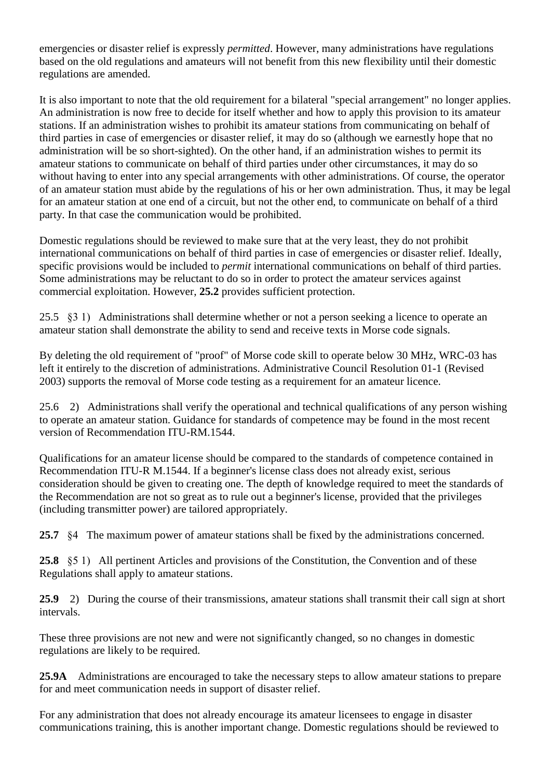emergencies or disaster relief is expressly *permitted*. However, many administrations have regulations based on the old regulations and amateurs will not benefit from this new flexibility until their domestic regulations are amended.

It is also important to note that the old requirement for a bilateral "special arrangement" no longer applies. An administration is now free to decide for itself whether and how to apply this provision to its amateur stations. If an administration wishes to prohibit its amateur stations from communicating on behalf of third parties in case of emergencies or disaster relief, it may do so (although we earnestly hope that no administration will be so short-sighted). On the other hand, if an administration wishes to permit its amateur stations to communicate on behalf of third parties under other circumstances, it may do so without having to enter into any special arrangements with other administrations. Of course, the operator of an amateur station must abide by the regulations of his or her own administration. Thus, it may be legal for an amateur station at one end of a circuit, but not the other end, to communicate on behalf of a third party. In that case the communication would be prohibited.

Domestic regulations should be reviewed to make sure that at the very least, they do not prohibit international communications on behalf of third parties in case of emergencies or disaster relief. Ideally, specific provisions would be included to *permit* international communications on behalf of third parties. Some administrations may be reluctant to do so in order to protect the amateur services against commercial exploitation. However, **25.2** provides sufficient protection.

25.5 §3 1) Administrations shall determine whether or not a person seeking a licence to operate an amateur station shall demonstrate the ability to send and receive texts in Morse code signals.

By deleting the old requirement of "proof" of Morse code skill to operate below 30 MHz, WRC-03 has left it entirely to the discretion of administrations. Administrative Council Resolution 01-1 (Revised 2003) supports the removal of Morse code testing as a requirement for an amateur licence.

25.6 2) Administrations shall verify the operational and technical qualifications of any person wishing to operate an amateur station. Guidance for standards of competence may be found in the most recent version of Recommendation ITU-RM.1544.

Qualifications for an amateur license should be compared to the standards of competence contained in Recommendation ITU-R M.1544. If a beginner's license class does not already exist, serious consideration should be given to creating one. The depth of knowledge required to meet the standards of the Recommendation are not so great as to rule out a beginner's license, provided that the privileges (including transmitter power) are tailored appropriately.

**25.7** §4 The maximum power of amateur stations shall be fixed by the administrations concerned.

**25.8** §5 1) All pertinent Articles and provisions of the Constitution, the Convention and of these Regulations shall apply to amateur stations.

**25.9** 2) During the course of their transmissions, amateur stations shall transmit their call sign at short intervals.

These three provisions are not new and were not significantly changed, so no changes in domestic regulations are likely to be required.

**25.9A** Administrations are encouraged to take the necessary steps to allow amateur stations to prepare for and meet communication needs in support of disaster relief.

For any administration that does not already encourage its amateur licensees to engage in disaster communications training, this is another important change. Domestic regulations should be reviewed to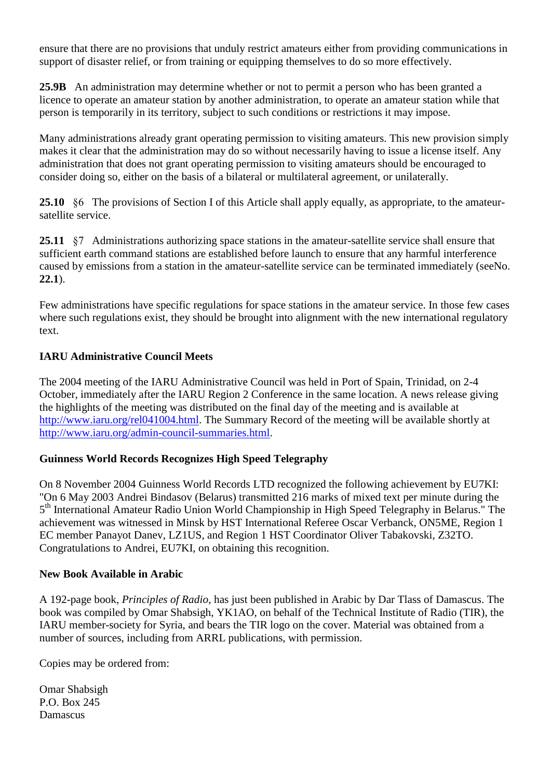ensure that there are no provisions that unduly restrict amateurs either from providing communications in support of disaster relief, or from training or equipping themselves to do so more effectively.

**25.9B** An administration may determine whether or not to permit a person who has been granted a licence to operate an amateur station by another administration, to operate an amateur station while that person is temporarily in its territory, subject to such conditions or restrictions it may impose.

Many administrations already grant operating permission to visiting amateurs. This new provision simply makes it clear that the administration may do so without necessarily having to issue a license itself. Any administration that does not grant operating permission to visiting amateurs should be encouraged to consider doing so, either on the basis of a bilateral or multilateral agreement, or unilaterally.

**25.10** §6 The provisions of Section I of this Article shall apply equally, as appropriate, to the amateursatellite service.

**25.11** §7 Administrations authorizing space stations in the amateur-satellite service shall ensure that sufficient earth command stations are established before launch to ensure that any harmful interference caused by emissions from a station in the amateur-satellite service can be terminated immediately (seeNo. **22.1**).

Few administrations have specific regulations for space stations in the amateur service. In those few cases where such regulations exist, they should be brought into alignment with the new international regulatory text.

## **IARU Administrative Council Meets**

The 2004 meeting of the IARU Administrative Council was held in Port of Spain, Trinidad, on 2-4 October, immediately after the IARU Region 2 Conference in the same location. A news release giving the highlights of the meeting was distributed on the final day of the meeting and is available at [http://www.iaru.org/rel041004.html.](http://www.iaru.org/rel041004.html) The Summary Record of the meeting will be available shortly at [http://www.iaru.org/admin-council-summaries.html.](http://www.iaru.org/admin-council-summaries.html)

## **Guinness World Records Recognizes High Speed Telegraphy**

On 8 November 2004 Guinness World Records LTD recognized the following achievement by EU7KI: "On 6 May 2003 Andrei Bindasov (Belarus) transmitted 216 marks of mixed text per minute during the 5<sup>th</sup> International Amateur Radio Union World Championship in High Speed Telegraphy in Belarus." The achievement was witnessed in Minsk by HST International Referee Oscar Verbanck, ON5ME, Region 1 EC member Panayot Danev, LZ1US, and Region 1 HST Coordinator Oliver Tabakovski, Z32TO. Congratulations to Andrei, EU7KI, on obtaining this recognition.

#### **New Book Available in Arabic**

A 192-page book, *Principles of Radio*, has just been published in Arabic by Dar Tlass of Damascus. The book was compiled by Omar Shabsigh, YK1AO, on behalf of the Technical Institute of Radio (TIR), the IARU member-society for Syria, and bears the TIR logo on the cover. Material was obtained from a number of sources, including from ARRL publications, with permission.

Copies may be ordered from:

Omar Shabsigh P.O. Box 245 Damascus